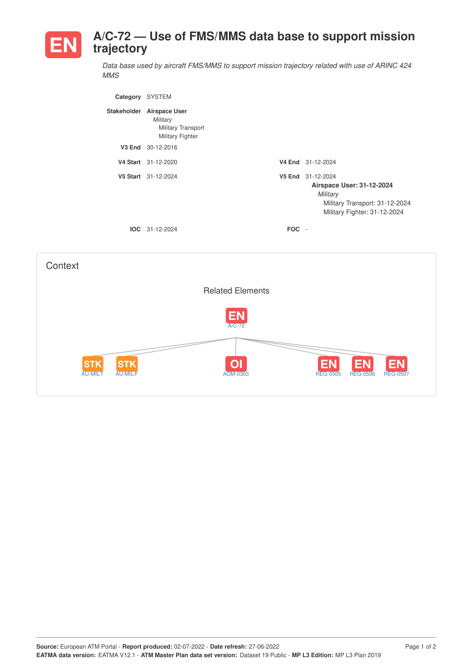

*Data base used by aircraft FMS/MMS to support mission trajectory related with use of ARINC 424 MMS*

| Category           | <b>SYSTEM</b>                                                                     |            |                                                                                                                              |
|--------------------|-----------------------------------------------------------------------------------|------------|------------------------------------------------------------------------------------------------------------------------------|
| <b>Stakeholder</b> | <b>Airspace User</b><br>Military<br><b>Military Transport</b><br>Military Fighter |            |                                                                                                                              |
| V3 End             | 30-12-2016                                                                        |            |                                                                                                                              |
|                    | V4 Start 31-12-2020                                                               |            | V4 End 31-12-2024                                                                                                            |
|                    | V5 Start 31-12-2024                                                               |            | V5 End 31-12-2024<br>Airspace User: 31-12-2024<br>Military<br>Military Transport: 31-12-2024<br>Military Fighter: 31-12-2024 |
|                    | $IOC 31-12-2024$                                                                  | <b>FOC</b> | $\overline{\phantom{a}}$                                                                                                     |